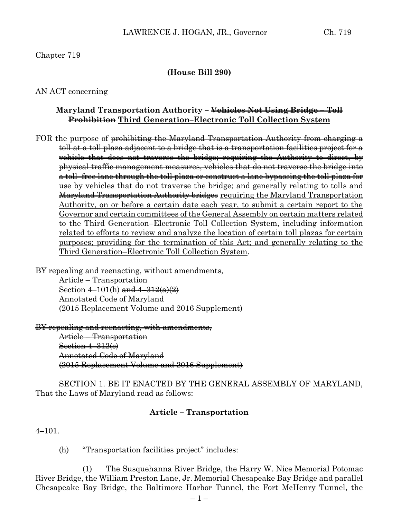# Chapter 719

#### **(House Bill 290)**

#### AN ACT concerning

## **Maryland Transportation Authority – Vehicles Not Using Bridge – Toll Prohibition Third Generation–Electronic Toll Collection System**

FOR the purpose of <del>prohibiting the Maryland Transportation Authority from charging a</del> toll at a toll plaza adjacent to a bridge that is a transportation facilities project for a vehicle that does not traverse the bridge; requiring the Authority to direct, by physical traffic management measures, vehicles that do not traverse the bridge into a toll–free lane through the toll plaza or construct a lane bypassing the toll plaza for use by vehicles that do not traverse the bridge; and generally relating to tolls and Maryland Transportation Authority bridges requiring the Maryland Transportation Authority, on or before a certain date each year, to submit a certain report to the Governor and certain committees of the General Assembly on certain matters related to the Third Generation–Electronic Toll Collection System, including information related to efforts to review and analyze the location of certain toll plazas for certain purposes; providing for the termination of this Act; and generally relating to the Third Generation–Electronic Toll Collection System.

BY repealing and reenacting, without amendments,

Article – Transportation Section  $4-101(h)$  and  $4-312(a)(2)$ Annotated Code of Maryland (2015 Replacement Volume and 2016 Supplement)

BY repealing and reenacting, with amendments,

Article – Transportation Section 4–312(e) Annotated Code of Maryland (2015 Replacement Volume and 2016 Supplement)

SECTION 1. BE IT ENACTED BY THE GENERAL ASSEMBLY OF MARYLAND, That the Laws of Maryland read as follows:

## **Article – Transportation**

4–101.

(h) "Transportation facilities project" includes:

(1) The Susquehanna River Bridge, the Harry W. Nice Memorial Potomac River Bridge, the William Preston Lane, Jr. Memorial Chesapeake Bay Bridge and parallel Chesapeake Bay Bridge, the Baltimore Harbor Tunnel, the Fort McHenry Tunnel, the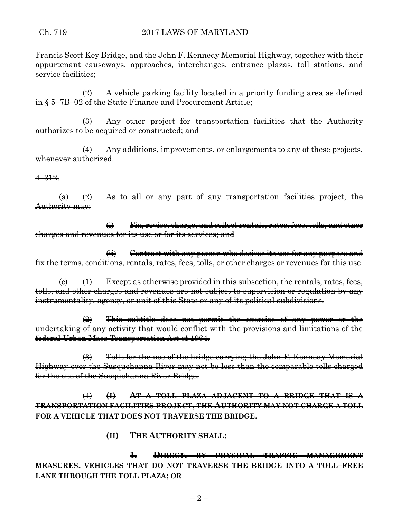Francis Scott Key Bridge, and the John F. Kennedy Memorial Highway, together with their appurtenant causeways, approaches, interchanges, entrance plazas, toll stations, and service facilities;

(2) A vehicle parking facility located in a priority funding area as defined in § 5–7B–02 of the State Finance and Procurement Article;

(3) Any other project for transportation facilities that the Authority authorizes to be acquired or constructed; and

(4) Any additions, improvements, or enlargements to any of these projects, whenever authorized.

4–312.

 $\left(\alpha\right)$   $\left(\alpha\right)$  As to all or any part of any transportation facilities project, the Authority may:

(i) Fix, revise, charge, and collect rentals, rates, fees, tolls, and other charges and revenues for its use or for its services; and

(ii) Contract with any person who desires its use for any purpose and fix the terms, conditions, rentals, rates, fees, tolls, or other charges or revenues for this use.

 $\left(\epsilon\right)$   $\left(\epsilon\right)$  Except as otherwise provided in this subsection, the rentals, rates, fees, tolls, and other charges and revenues are not subject to supervision or regulation by any instrumentality, agency, or unit of this State or any of its political subdivisions.

 $\left( 2 \right)$  This subtitle does not permit the exercise of any power or the undertaking of any activity that would conflict with the provisions and limitations of the federal Urban Mass Transportation Act of 1964.

(3) Tolls for the use of the bridge carrying the John F. Kennedy Memorial Highway over the Susquehanna River may not be less than the comparable tolls charged for the use of the Susquehanna River Bridge.

(4) **(I) AT A TOLL PLAZA ADJACENT TO A BRIDGE THAT IS A TRANSPORTATION FACILITIES PROJECT, THE AUTHORITY MAY NOT CHARGE A TOLL FOR A VEHICLE THAT DOES NOT TRAVERSE THE BRIDGE.**

**(II) THE AUTHORITY SHALL:**

**1. DIRECT, BY PHYSICAL TRAFFIC MANAGEMENT MEASURES, VEHICLES THAT DO NOT TRAVERSE THE BRIDGE INTO A TOLL–FREE LANE THROUGH THE TOLL PLAZA; OR**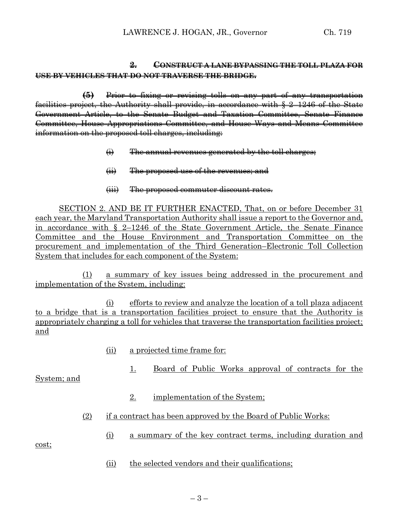# **2. CONSTRUCT A LANE BYPASSING THE TOLL PLAZA FOR USE BY VEHICLES THAT DO NOT TRAVERSE THE BRIDGE.**

**(5)** Prior to fixing or revising tolls on any part of any transportation facilities project, the Authority shall provide, in accordance with § 2–1246 of the State Government Article, to the Senate Budget and Taxation Committee, Senate Finance Committee, House Appropriations Committee, and House Ways and Means Committee information on the proposed toll charges, including:

- $\leftrightarrow$  The annual revenues generated by the toll charges;
- (ii) The proposed use of the revenues; and
- (iii) The proposed commuter discount rates.

SECTION 2. AND BE IT FURTHER ENACTED, That, on or before December 31 each year, the Maryland Transportation Authority shall issue a report to the Governor and, in accordance with § 2–1246 of the State Government Article, the Senate Finance Committee and the House Environment and Transportation Committee on the procurement and implementation of the Third Generation–Electronic Toll Collection System that includes for each component of the System:

(1) a summary of key issues being addressed in the procurement and implementation of the System, including:

(i) efforts to review and analyze the location of a toll plaza adjacent to a bridge that is a transportation facilities project to ensure that the Authority is appropriately charging a toll for vehicles that traverse the transportation facilities project; and

- (ii) a projected time frame for:
	- 1. Board of Public Works approval of contracts for the

System; and

- 2. implementation of the System;
- (2) if a contract has been approved by the Board of Public Works:
	- (i) a summary of the key contract terms, including duration and

cost;

(ii) the selected vendors and their qualifications;